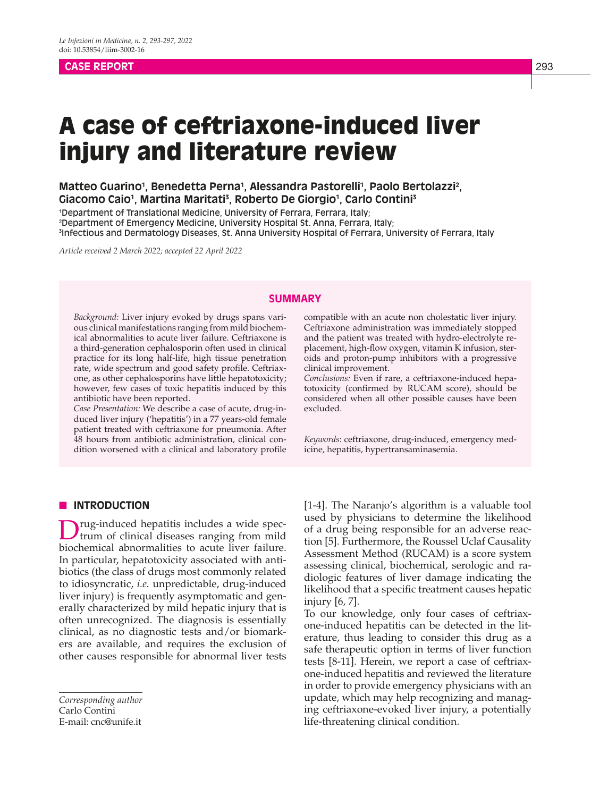## **CASE REPORT** 293

# A case of ceftriaxone-induced liver injury and literature review

**Matteo Guarino<sup>1</sup>, Benedetta Perna<sup>1</sup>, Alessandra Pastorelli<sup>1</sup>, Paolo Bertolazzi<sup>2</sup>, Giacomo Caio1 , Martina Maritati3 , Roberto De Giorgio1 , Carlo Contini3**

1 Department of Translational Medicine, University of Ferrara, Ferrara, Italy; 2 Department of Emergency Medicine, University Hospital St. Anna, Ferrara, Italy; 3 Infectious and Dermatology Diseases, St. Anna University Hospital of Ferrara, University of Ferrara, Italy

*Article received 2 March 2022; accepted 22 April 2022*

#### **SUMMARY**

*Background:* Liver injury evoked by drugs spans various clinical manifestations ranging from mild biochemical abnormalities to acute liver failure. Ceftriaxone is a third-generation cephalosporin often used in clinical practice for its long half-life, high tissue penetration rate, wide spectrum and good safety profile. Ceftriaxone, as other cephalosporins have little hepatotoxicity; however, few cases of toxic hepatitis induced by this antibiotic have been reported.

*Case Presentation:* We describe a case of acute, drug-induced liver injury ('hepatitis') in a 77 years-old female patient treated with ceftriaxone for pneumonia. After 48 hours from antibiotic administration, clinical condition worsened with a clinical and laboratory profile compatible with an acute non cholestatic liver injury. Ceftriaxone administration was immediately stopped and the patient was treated with hydro-electrolyte replacement, high-flow oxygen, vitamin K infusion, steroids and proton-pump inhibitors with a progressive clinical improvement.

*Conclusions:* Even if rare, a ceftriaxone-induced hepatotoxicity (confirmed by RUCAM score), should be considered when all other possible causes have been excluded.

*Keywords*: ceftriaxone, drug-induced, emergency medicine, hepatitis, hypertransaminasemia.

# **N** INTRODUCTION

Drug-induced hepatitis includes a wide spec-trum of clinical diseases ranging from mild biochemical abnormalities to acute liver failure. In particular, hepatotoxicity associated with antibiotics (the class of drugs most commonly related to idiosyncratic, *i.e.* unpredictable, drug-induced liver injury) is frequently asymptomatic and generally characterized by mild hepatic injury that is often unrecognized. The diagnosis is essentially clinical, as no diagnostic tests and/or biomarkers are available, and requires the exclusion of other causes responsible for abnormal liver tests

*Corresponding author* Carlo Contini E-mail: cnc@unife.it

[1-4]. The Naranjo's algorithm is a valuable tool used by physicians to determine the likelihood of a drug being responsible for an adverse reaction [5]. Furthermore, the Roussel Uclaf Causality Assessment Method (RUCAM) is a score system assessing clinical, biochemical, serologic and radiologic features of liver damage indicating the likelihood that a specific treatment causes hepatic injury [6, 7].

To our knowledge, only four cases of ceftriaxone-induced hepatitis can be detected in the literature, thus leading to consider this drug as a safe therapeutic option in terms of liver function tests [8-11]. Herein, we report a case of ceftriaxone-induced hepatitis and reviewed the literature in order to provide emergency physicians with an update, which may help recognizing and managing ceftriaxone-evoked liver injury, a potentially life-threatening clinical condition.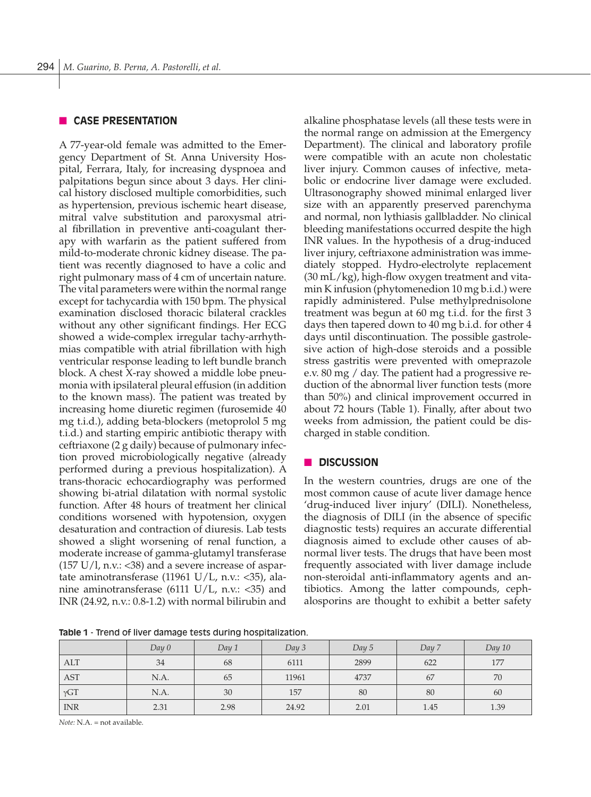#### n **CASE PRESENTATION**

A 77-year-old female was admitted to the Emergency Department of St. Anna University Hospital, Ferrara, Italy, for increasing dyspnoea and palpitations begun since about 3 days. Her clinical history disclosed multiple comorbidities, such as hypertension, previous ischemic heart disease, mitral valve substitution and paroxysmal atrial fibrillation in preventive anti-coagulant therapy with warfarin as the patient suffered from mild-to-moderate chronic kidney disease. The patient was recently diagnosed to have a colic and right pulmonary mass of 4 cm of uncertain nature. The vital parameters were within the normal range except for tachycardia with 150 bpm. The physical examination disclosed thoracic bilateral crackles without any other significant findings. Her ECG showed a wide-complex irregular tachy-arrhythmias compatible with atrial fibrillation with high ventricular response leading to left bundle branch block. A chest X-ray showed a middle lobe pneumonia with ipsilateral pleural effusion (in addition to the known mass). The patient was treated by increasing home diuretic regimen (furosemide 40 mg t.i.d.), adding beta-blockers (metoprolol 5 mg t.i.d.) and starting empiric antibiotic therapy with ceftriaxone (2 g daily) because of pulmonary infection proved microbiologically negative (already performed during a previous hospitalization). A trans-thoracic echocardiography was performed showing bi-atrial dilatation with normal systolic function. After 48 hours of treatment her clinical conditions worsened with hypotension, oxygen desaturation and contraction of diuresis. Lab tests showed a slight worsening of renal function, a moderate increase of gamma-glutamyl transferase  $(157 \text{ U/l}, n.v.: < 38)$  and a severe increase of aspartate aminotransferase (11961 U/L, n.v.: <35), alanine aminotransferase (6111 U/L, n.v.:  $\langle 35 \rangle$  and INR (24.92, n.v.: 0.8-1.2) with normal bilirubin and

alkaline phosphatase levels (all these tests were in the normal range on admission at the Emergency Department). The clinical and laboratory profile were compatible with an acute non cholestatic liver injury. Common causes of infective, metabolic or endocrine liver damage were excluded. Ultrasonography showed minimal enlarged liver size with an apparently preserved parenchyma and normal, non lythiasis gallbladder. No clinical bleeding manifestations occurred despite the high INR values. In the hypothesis of a drug-induced liver injury, ceftriaxone administration was immediately stopped. Hydro-electrolyte replacement (30 mL/kg), high-flow oxygen treatment and vitamin K infusion (phytomenedion 10 mg b.i.d.) were rapidly administered. Pulse methylprednisolone treatment was begun at 60 mg t.i.d. for the first 3 days then tapered down to 40 mg b.i.d. for other 4 days until discontinuation. The possible gastrolesive action of high-dose steroids and a possible stress gastritis were prevented with omeprazole e.v. 80 mg / day. The patient had a progressive reduction of the abnormal liver function tests (more than 50%) and clinical improvement occurred in about 72 hours (Table 1). Finally, after about two weeks from admission, the patient could be discharged in stable condition.

# **n** DISCUSSION

In the western countries, drugs are one of the most common cause of acute liver damage hence 'drug-induced liver injury' (DILI). Nonetheless, the diagnosis of DILI (in the absence of specific diagnostic tests) requires an accurate differential diagnosis aimed to exclude other causes of abnormal liver tests. The drugs that have been most frequently associated with liver damage include non-steroidal anti-inflammatory agents and antibiotics. Among the latter compounds, cephalosporins are thought to exhibit a better safety

**Table 1** - Trend of liver damage tests during hospitalization.

|             | Day 0 | Day 1 | Day 3 | Day 5 | Day 7 | Day 10 |
|-------------|-------|-------|-------|-------|-------|--------|
| <b>ALT</b>  | 34    | 68    | 6111  | 2899  | 622   | 177    |
| AST         | N.A.  | 65    | 11961 | 4737  | 67    | 70     |
| $\gamma GT$ | N.A.  | 30    | 157   | 80    | 80    | 60     |
| <b>INR</b>  | 2.31  | 2.98  | 24.92 | 2.01  | 1.45  | 1.39   |

*Note:* N.A. = not available.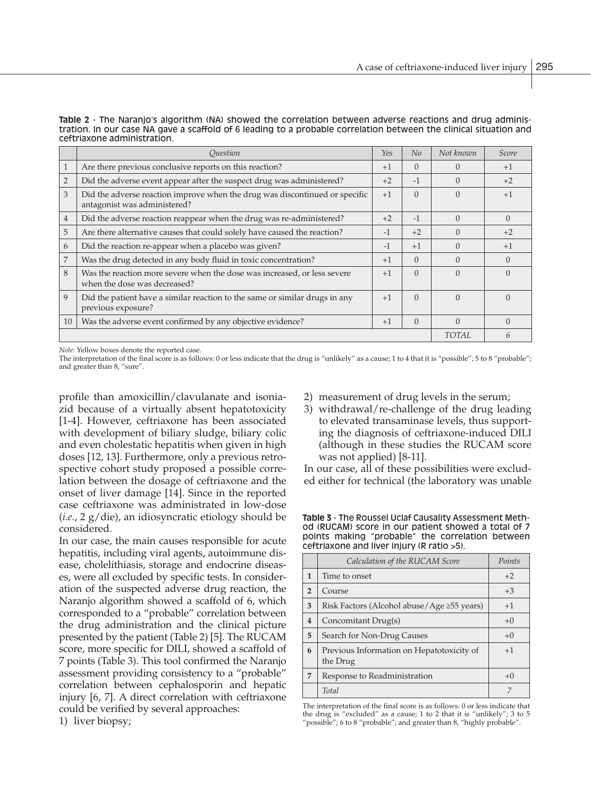|                             |  |  |  | Table 2 - The Naranio's algorithm (NA) showed the correlation between adverse reactions and drug adminis-         |  |  |  |  |
|-----------------------------|--|--|--|-------------------------------------------------------------------------------------------------------------------|--|--|--|--|
|                             |  |  |  | tration. In our case NA gave a scaffold of 6 leading to a probable correlation between the clinical situation and |  |  |  |  |
| ceftriaxone administration. |  |  |  |                                                                                                                   |  |  |  |  |

|                | Ouestion                                                                                                    | Yes  | No       | Not known | Score    |
|----------------|-------------------------------------------------------------------------------------------------------------|------|----------|-----------|----------|
|                | Are there previous conclusive reports on this reaction?                                                     | $+1$ | $\Omega$ |           | $+1$     |
| $\overline{2}$ | Did the adverse event appear after the suspect drug was administered?                                       | $+2$ | $-1$     | 0         | $+2$     |
| 3              | Did the adverse reaction improve when the drug was discontinued or specific<br>antagonist was administered? | $+1$ | $\Omega$ | $\Omega$  | $+1$     |
| $\overline{4}$ | Did the adverse reaction reappear when the drug was re-administered?                                        | $+2$ | $-1$     | $\Omega$  | $\Omega$ |
| 5              | Are there alternative causes that could solely have caused the reaction?                                    | $-1$ | $+2$     | 0         | $+2$     |
| 6              | Did the reaction re-appear when a placebo was given?                                                        | $-1$ | $+1$     | $\Omega$  | $+1$     |
| 7              | Was the drug detected in any body fluid in toxic concentration?                                             | $+1$ | $\Omega$ | $\Omega$  | 0        |
| 8              | Was the reaction more severe when the dose was increased, or less severe<br>when the dose was decreased?    | $+1$ | $\Omega$ | $\Omega$  |          |
| 9              | Did the patient have a similar reaction to the same or similar drugs in any<br>previous exposure?           | $+1$ | $\Omega$ | $\Omega$  |          |
| 10             | Was the adverse event confirmed by any objective evidence?                                                  | $+1$ | $\Omega$ | $\Omega$  | $\Omega$ |
|                |                                                                                                             |      |          | TOTAL     | h        |

*Note:* Yellow boxes denote the reported case.

The interpretation of the final score is as follows: 0 or less indicate that the drug is "unlikely" as a cause; 1 to 4 that it is "possible"; 5 to 8 "probable"; and greater than 8, "sure".

profile than amoxicillin/clavulanate and isoniazid because of a virtually absent hepatotoxicity [1-4]. However, ceftriaxone has been associated with development of biliary sludge, biliary colic and even cholestatic hepatitis when given in high doses [12, 13]. Furthermore, only a previous retrospective cohort study proposed a possible correlation between the dosage of ceftriaxone and the onset of liver damage [14]. Since in the reported case ceftriaxone was administrated in low-dose (*i.e.*, 2 g/die), an idiosyncratic etiology should be considered.

In our case, the main causes responsible for acute hepatitis, including viral agents, autoimmune disease, cholelithiasis, storage and endocrine diseases, were all excluded by specific tests. In consideration of the suspected adverse drug reaction, the Naranjo algorithm showed a scaffold of 6, which corresponded to a "probable" correlation between the drug administration and the clinical picture presented by the patient (Table 2) [5]. The RUCAM score, more specific for DILI, showed a scaffold of 7 points (Table 3). This tool confirmed the Naranjo assessment providing consistency to a "probable" correlation between cephalosporin and hepatic injury [6, 7]. A direct correlation with ceftriaxone could be verified by several approaches:

1) liver biopsy;

- 2) measurement of drug levels in the serum;
- 3) withdrawal/re-challenge of the drug leading to elevated transaminase levels, thus supporting the diagnosis of ceftriaxone-induced DILI (although in these studies the RUCAM score was not applied) [8-11].

In our case, all of these possibilities were excluded either for technical (the laboratory was unable

**Table 3** - The Roussel Uclaf Causality Assessment Method (RUCAM) score in our patient showed a total of 7 points making "probable" the correlation between ceftriaxone and liver injury (R ratio >5).

|                | Calculation of the RUCAM Score                        | Points |
|----------------|-------------------------------------------------------|--------|
| 1              | Time to onset                                         | $+2$   |
| $\overline{2}$ | Course                                                | $+3$   |
| 3              | Risk Factors (Alcohol abuse/Age $\geq 55$ years)      | $+1$   |
| $\overline{4}$ | Concomitant Drug(s)                                   | $+0$   |
| 5              | Search for Non-Drug Causes                            | $+0$   |
| 6              | Previous Information on Hepatotoxicity of<br>the Drug | $+1$   |
| 7              | Response to Readministration                          | $+0$   |
|                | <b>Total</b>                                          | 7      |

The interpretation of the final score is as follows: 0 or less indicate that the drug is "excluded" as a cause; 1 to 2 that it is "unlikely"; 3 to 5 "possible"; 6 to 8 "probable"; and greater than 8, "highly probable".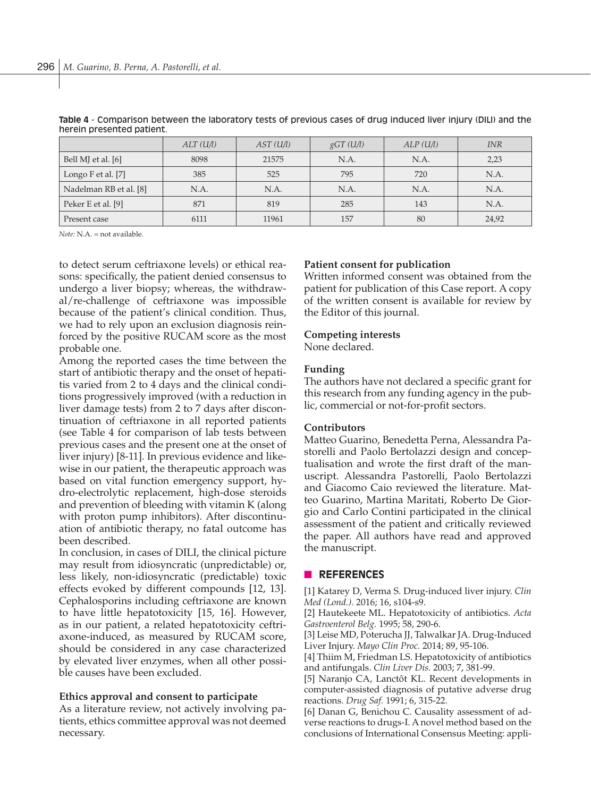|                        | ALT(U/l) | AST(U/I) | gGT(U/l) | ALP(U/I) | <b>INR</b> |
|------------------------|----------|----------|----------|----------|------------|
| Bell MJ et al. [6]     | 8098     | 21575    | N.A.     | N.A.     | 2,23       |
| Longo F et al. [7]     | 385      | 525      | 795      | 720      | N.A.       |
| Nadelman RB et al. [8] | N.A.     | N.A.     | N.A.     | N.A.     | N.A.       |
| Peker E et al. [9]     | 871      | 819      | 285      | 143      | N.A.       |
| Present case           | 6111     | 11961    | 157      | 80       | 24,92      |

**Table 4** - Comparison between the laboratory tests of previous cases of drug induced liver injury (DILI) and the herein presented patient.

*Note:* N.A. = not available.

to detect serum ceftriaxone levels) or ethical reasons: specifically, the patient denied consensus to undergo a liver biopsy; whereas, the withdrawal/re-challenge of ceftriaxone was impossible because of the patient's clinical condition. Thus, we had to rely upon an exclusion diagnosis reinforced by the positive RUCAM score as the most probable one.

Among the reported cases the time between the start of antibiotic therapy and the onset of hepatitis varied from 2 to 4 days and the clinical conditions progressively improved (with a reduction in liver damage tests) from 2 to 7 days after discontinuation of ceftriaxone in all reported patients (see Table 4 for comparison of lab tests between previous cases and the present one at the onset of liver injury) [8-11]. In previous evidence and likewise in our patient, the therapeutic approach was based on vital function emergency support, hydro-electrolytic replacement, high-dose steroids and prevention of bleeding with vitamin K (along with proton pump inhibitors). After discontinuation of antibiotic therapy, no fatal outcome has been described.

In conclusion, in cases of DILI, the clinical picture may result from idiosyncratic (unpredictable) or, less likely, non-idiosyncratic (predictable) toxic effects evoked by different compounds [12, 13]. Cephalosporins including ceftriaxone are known to have little hepatotoxicity [15, 16]. However, as in our patient, a related hepatotoxicity ceftriaxone-induced, as measured by RUCAM score, should be considered in any case characterized by elevated liver enzymes, when all other possible causes have been excluded.

# **Ethics approval and consent to participate**

As a literature review, not actively involving patients, ethics committee approval was not deemed necessary.

# **Patient consent for publication**

Written informed consent was obtained from the patient for publication of this Case report. A copy of the written consent is available for review by the Editor of this journal.

#### **Competing interests**

None declared.

#### **Funding**

The authors have not declared a specific grant for this research from any funding agency in the public, commercial or not-for-profit sectors.

## **Contributors**

Matteo Guarino, Benedetta Perna, Alessandra Pastorelli and Paolo Bertolazzi design and conceptualisation and wrote the first draft of the manuscript. Alessandra Pastorelli, Paolo Bertolazzi and Giacomo Caio reviewed the literature. Matteo Guarino, Martina Maritati, Roberto De Giorgio and Carlo Contini participated in the clinical assessment of the patient and critically reviewed the paper. All authors have read and approved the manuscript.

# n **REFERENCES**

[1] Katarey D, Verma S. Drug-induced liver injury. *Clin Med (Lond.).* 2016; 16, s104-s9.

[2] Hautekeete ML. Hepatotoxicity of antibiotics. *Acta Gastroenterol Belg.* 1995; 58, 290-6.

[3] Leise MD, Poterucha JJ, Talwalkar JA. Drug-Induced Liver Injury. *Mayo Clin Proc.* 2014; 89, 95-106.

[4] Thiim M, Friedman LS. Hepatotoxicity of antibiotics and antifungals. *Clin Liver Dis.* 2003; 7, 381-99.

[5] Naranjo CA, Lanctôt KL. Recent developments in computer-assisted diagnosis of putative adverse drug reactions. *Drug Saf.* 1991; 6, 315-22.

[6] Danan G, Benichou C. Causality assessment of adverse reactions to drugs-I. A novel method based on the conclusions of International Consensus Meeting: appli